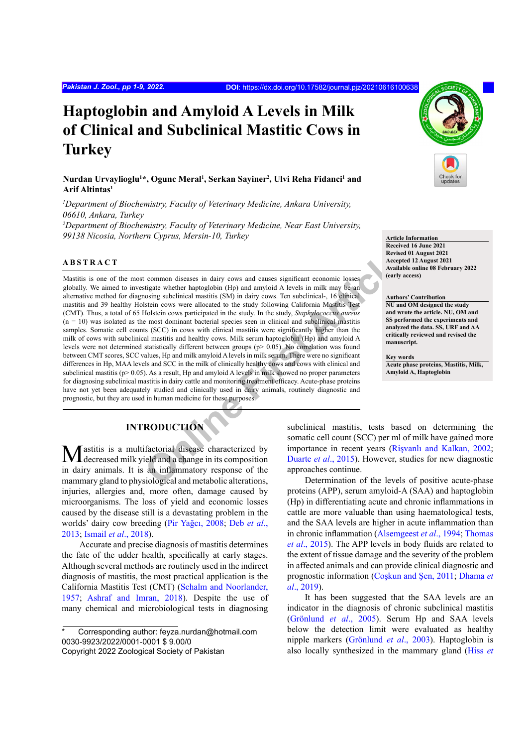# **Haptoglobin and Amyloid A Levels in Milk of Clinical and Subclinical Mastitic Cows in Turkey**

# **Nurdan Urvaylioglu1 \*, Ogunc Meral1 , Serkan Sayiner2 , Ulvi Reha Fidanci1 and Arif Altintas1**

*1 Department of Biochemistry, Faculty of Veterinary Medicine, Ankara University, 06610, Ankara, Turkey 2 Department of Biochemistry, Faculty of Veterinary Medicine, Near East University,*  99138 Nicosia, Northern Cyprus, Mersin-10, Turkey **Article Information Article Information** 

#### **ABSTRACT**

**Exertion Common diseases in dairy cows and causes significant economic losses<br>
Recept<br>
Straight whether haptoglobin (Hp) and amyloid A levels in milk may be an<br>
Online and the study following California Mastitus (SM) in d** Mastitis is one of the most common diseases in dairy cows and causes significant economic losses globally. We aimed to investigate whether haptoglobin (Hp) and amyloid A levels in milk may be an alternative method for diagnosing subclinical mastitis (SM) in dairy cows. Ten subclinical-, 16 clinical mastitis and 39 healthy Holstein cows were allocated to the study following California Mastitis Test (CMT). Thus, a total of 65 Holstein cows participated in the study. In the study, *Staphylococcus aureus*  $(n = 10)$  was isolated as the most dominant bacterial species seen in clinical and subclinical mastitis samples. Somatic cell counts (SCC) in cows with clinical mastitis were significantly higher than the milk of cows with subclinical mastitis and healthy cows. Milk serum haptoglobin (Hp) and amyloid A levels were not determined statistically different between groups (p> 0.05). No correlation was found between CMT scores, SCC values, Hp and milk amyloid A levels in milk serum. There were no significant differences in Hp, MAA levels and SCC in the milk of clinically healthy cows and cows with clinical and subclinical mastitis ( $p > 0.05$ ). As a result, Hp and amyloid A levels in milk showed no proper parameters for diagnosing subclinical mastitis in dairy cattle and monitoring treatment efficacy. Acute-phase proteins have not yet been adequately studied and clinically used in dairy animals, routinely diagnostic and prognostic, but they are used in human medicine for these purposes.

# **INTRODUCTION**

Mastitis is a multifactorial disease characterized by decreased milk yield and a change in its composition in dairy animals. It is an inflammatory response of the mammary gland to physiological and metabolic alterations, injuries, allergies and, more often, damage caused by microorganisms. The loss of yield and economic losses caused by the disease still is a devastating problem in the worlds' dairy cow breeding (Pir Yağcı, 2008; [Deb](#page-6-0) *et al*., [2013](#page-6-0); Ismail *et al*[., 2018\)](#page-7-0).

Accurate and precise diagnosis of mastitis determines the fate of the udder health, specifically at early stages. Although several methods are routinely used in the indirect diagnosis of mastitis, the most practical application is the California Mastitis Test (CMT) ([Schalm and Noorlander,](#page-8-0) [1957](#page-8-0); [Ashraf and Imran, 2018\)](#page-6-1). Despite the use of many chemical and microbiological tests in diagnosing



**Received 16 June 2021 Revised 01 August 2021 Accepted 12 August 2021 Available online 08 February 2022 (early access)**

#### **Authors' Contribution**

**NU and OM designed the study and wrote the article. NU, OM and SS performed the experiments and analyzed the data. SS, URF and AA critically reviewed and revised the manuscript.**

**Key words Acute phase proteins, Mastitis, Milk, Amyloid A, Haptoglobin**

subclinical mastitis, tests based on determining the somatic cell count (SCC) per ml of milk have gained more importance in recent years (Rişvanlı and Kalkan, 2002; Duarte *et al*., 2015). However, studies for new diagnostic approaches continue.

Determination of the levels of positive acute-phase proteins (APP), serum amyloid-A (SAA) and haptoglobin (Hp) in differentiating acute and chronic inflammations in cattle are more valuable than using haematological tests, and the SAA levels are higher in acute inflammation than in chronic inflammation [\(Alsemgeest](#page-6-3) *et al*., 1994; [Thomas](#page-8-1) *et al*[., 2015](#page-8-1)). The APP levels in body fluids are related to the extent of tissue damage and the severity of the problem in affected animals and can provide clinical diagnostic and prognostic information (Coşkun and Şen, 2011; [Dhama](#page-6-4) *et al*[., 2019](#page-6-4)).

It has been suggested that the SAA levels are an indicator in the diagnosis of chronic subclinical mastitis (Grönlund *et al*., 2005). Serum Hp and SAA levels below the detection limit were evaluated as healthy nipple markers (Grönlund *et al*., 2003). Haptoglobin is also locally synthesized in the mammary gland ([Hiss](#page-7-1) *et* 

Corresponding author: feyza.nurdan@hotmail.com 0030-9923/2022/0001-0001 \$ 9.00/0

Copyright 2022 Zoological Society of Pakistan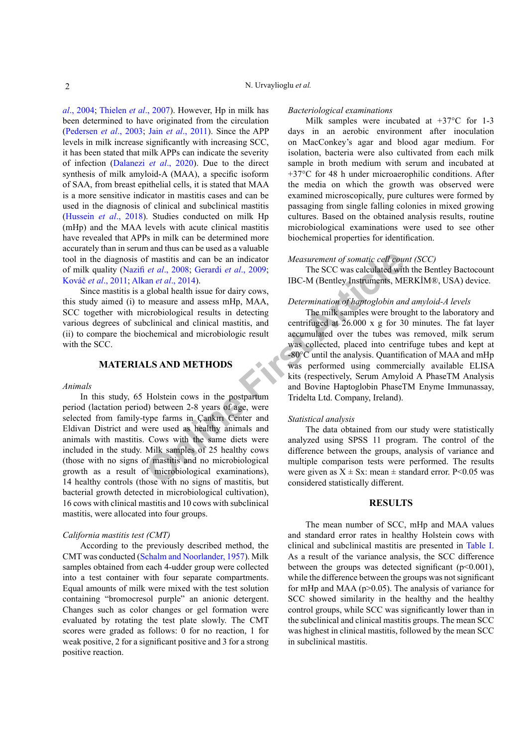*al*[., 2004](#page-7-1); [Thielen](#page-8-2) *et al*., 2007). However, Hp in milk has been determined to have originated from the circulation (Pedersen *et al*., 2003; Jain *et al*[., 2011](#page-7-2)). Since the APP levels in milk increase significantly with increasing SCC, it has been stated that milk APPs can indicate the severity of infection (Dalanezi *et al*., 2020). Due to the direct synthesis of milk amyloid-A (MAA), a specific isoform of SAA, from breast epithelial cells, it is stated that MAA is a more sensitive indicator in mastitis cases and can be used in the diagnosis of clinical and subclinical mastitis [\(Hussein](#page-7-3) *et al*., 2018). Studies conducted on milk Hp (mHp) and the MAA levels with acute clinical mastitis have revealed that APPs in milk can be determined more accurately than in serum and thus can be used as a valuable tool in the diagnosis of mastitis and can be an indicator of milk quality (Nazifi *et al*., 2008; Gerardi *et al*., 2009; Kováč *et al*., 2011; Alkan *et al*., 2014).

Since mastitis is a global health issue for dairy cows, this study aimed (i) to measure and assess mHp, MAA, SCC together with microbiological results in detecting various degrees of subclinical and clinical mastitis, and (ii) to compare the biochemical and microbiologic result with the SCC.

### **MATERIALS AND METHODS**

### *Animals*

For mastitis and can be an indicator *Measurement of somatic cell court al.*, 2008; Gerardi et al., 2009; The SCC was calculated with an et al., 2014).<br>
BC-M (Bentley Instruments, ME global health issue for dairy cows, mea In this study, 65 Holstein cows in the postpartum period (lactation period) between 2-8 years of age, were selected from family-type farms in Çankırı Center and Eldivan District and were used as healthy animals and animals with mastitis. Cows with the same diets were included in the study. Milk samples of 25 healthy cows (those with no signs of mastitis and no microbiological growth as a result of microbiological examinations), 14 healthy controls (those with no signs of mastitis, but bacterial growth detected in microbiological cultivation), 16 cows with clinical mastitis and 10 cows with subclinical mastitis, were allocated into four groups.

#### *California mastitis test (CMT)*

According to the previously described method, the CMT was conducted ([Schalm and Noorlander, 1957\)](#page-8-0). Milk samples obtained from each 4-udder group were collected into a test container with four separate compartments. Equal amounts of milk were mixed with the test solution containing "bromocresol purple" an anionic detergent. Changes such as color changes or gel formation were evaluated by rotating the test plate slowly. The CMT scores were graded as follows: 0 for no reaction, 1 for weak positive, 2 for a significant positive and 3 for a strong positive reaction.

#### *Bacteriological examinations*

Milk samples were incubated at +37°C for 1-3 days in an aerobic environment after inoculation on MacConkey's agar and blood agar medium. For isolation, bacteria were also cultivated from each milk sample in broth medium with serum and incubated at +37°C for 48 h under microaerophilic conditions. After the media on which the growth was observed were examined microscopically, pure cultures were formed by passaging from single falling colonies in mixed growing cultures. Based on the obtained analysis results, routine microbiological examinations were used to see other biochemical properties for identification.

# *Measurement of somatic cell count (SCC)*

The SCC was calculated with the Bentley Bactocount IBC-M (Bentley Instruments, MERKİM®, USA) device.

#### *Determination of haptoglobin and amyloid-A levels*

The milk samples were brought to the laboratory and centrifuged at 26.000 x g for 30 minutes. The fat layer accumulated over the tubes was removed, milk serum was collected, placed into centrifuge tubes and kept at -80°C until the analysis. Quantification of MAA and mHp was performed using commercially available ELISA kits (respectively, Serum Amyloid A PhaseTM Analysis and Bovine Haptoglobin PhaseTM Enyme Immunassay, Tridelta Ltd. Company, Ireland).

#### *Statistical analysis*

The data obtained from our study were statistically analyzed using SPSS 11 program. The control of the difference between the groups, analysis of variance and multiple comparison tests were performed. The results were given as  $X \pm Sx$ : mean  $\pm$  standard error. P<0.05 was considered statistically different.

### **RESULTS**

The mean number of SCC, mHp and MAA values and standard error rates in healthy Holstein cows with clinical and subclinical mastitis are presented in [Table I.](#page-2-0) As a result of the variance analysis, the SCC difference between the groups was detected significant (p<0.001), while the difference between the groups was not significant for mHp and MAA ( $p > 0.05$ ). The analysis of variance for SCC showed similarity in the healthy and the healthy control groups, while SCC was significantly lower than in the subclinical and clinical mastitis groups. The mean SCC was highest in clinical mastitis, followed by the mean SCC in subclinical mastitis.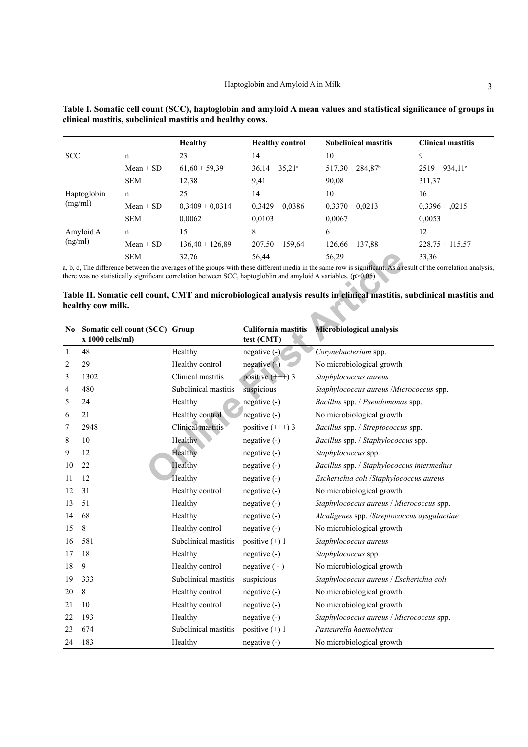|  | nce of grou |  |
|--|-------------|--|

|             |               | <b>Healthy</b>            | <b>Healthy control</b>    | <b>Subclinical mastitis</b>      | <b>Clinical mastitis</b> |
|-------------|---------------|---------------------------|---------------------------|----------------------------------|--------------------------|
| <b>SCC</b>  | n             | 23                        | 14                        | 10                               | 9                        |
|             | $Mean \pm SD$ | $61,60 \pm 59,39^{\circ}$ | $36,14 \pm 35,21^{\circ}$ | $517,30 \pm 284,87$ <sup>b</sup> | $2519 \pm 934,11$ °      |
|             | <b>SEM</b>    | 12,38                     | 9,41                      | 90,08                            | 311,37                   |
| Haptoglobin | $\mathbf n$   | 25                        | 14                        | 10                               | 16                       |
| (mg/ml)     | $Mean \pm SD$ | $0.3409 \pm 0.0314$       | $0,3429 \pm 0,0386$       | $0.3370 \pm 0.0213$              | $0.3396 \pm 0.0215$      |
|             | <b>SEM</b>    | 0,0062                    | 0.0103                    | 0.0067                           | 0,0053                   |
| Amyloid A   | $\mathbf n$   | 15                        | 8                         | 6                                | 12                       |
| (ng/ml)     | $Mean \pm SD$ | $136.40 \pm 126.89$       | $207.50 \pm 159.64$       | $126.66 \pm 137.88$              | $228,75 \pm 115,57$      |
|             | <b>SEM</b>    | 32,76                     | 56,44                     | 56,29                            | 33,36                    |

<span id="page-2-0"></span>**Table I. Somatic cell count (SCC), haptoglobin and amyloid A mean values and statistical significance of groups in clinical mastitis, subclinical mastitis and healthy cows.**

# <span id="page-2-1"></span>**Table II. Somatic cell count, CMT and microbiological analysis results in clinical mastitis, subclinical mastitis and healthy cow milk.**

|              | <b>SEM</b>                                                                                                                                                                                                                                                                          | 32,76                | 56,44                             | 56,29                                        | 33,36 |
|--------------|-------------------------------------------------------------------------------------------------------------------------------------------------------------------------------------------------------------------------------------------------------------------------------------|----------------------|-----------------------------------|----------------------------------------------|-------|
|              | a, b, c, The difference between the averages of the groups with these different media in the same row is significant. As a result of the correlation analysis<br>there was no statistically significant correlation between SCC, haptogloblin and amyloid A variables. $(p>0,05)$ . |                      |                                   |                                              |       |
|              | Table II. Somatic cell count, CMT and microbiological analysis results in clinical mastitis, subclinical mastitis and<br>healthy cow milk.                                                                                                                                          |                      |                                   |                                              |       |
|              | No Somatic cell count (SCC) Group<br>$x 1000$ cells/ml)                                                                                                                                                                                                                             |                      | California mastitis<br>test (CMT) | Microbiological analysis                     |       |
| $\mathbf{1}$ | 48                                                                                                                                                                                                                                                                                  | Healthy              | negative (-)                      | Corynebacterium spp.                         |       |
| 2            | 29                                                                                                                                                                                                                                                                                  | Healthy control      | $negative(-)$                     | No microbiological growth                    |       |
| 3            | 1302                                                                                                                                                                                                                                                                                | Clinical mastitis    | positive $(++)$ 3                 | Staphylococcus aureus                        |       |
| 4            | 480                                                                                                                                                                                                                                                                                 | Subclinical mastitis | suspicious                        | Staphylococcus aureus /Micrococcus spp.      |       |
| 5            | 24                                                                                                                                                                                                                                                                                  | Healthy              | negative (-)                      | Bacillus spp. / Pseudomonas spp.             |       |
| 6            | 21                                                                                                                                                                                                                                                                                  | Healthy control      | negative (-)                      | No microbiological growth                    |       |
| 7            | 2948                                                                                                                                                                                                                                                                                | Clinical mastitis    | positive $(++)$ 3                 | Bacillus spp. / Streptococcus spp.           |       |
| 8            | 10                                                                                                                                                                                                                                                                                  | Healthy              | $negative(-)$                     | Bacillus spp. / Staphylococcus spp.          |       |
| 9            | 12                                                                                                                                                                                                                                                                                  | Healthy              | $negative(-)$                     | Staphylococcus spp.                          |       |
| 10           | 22                                                                                                                                                                                                                                                                                  | Healthy              | $negative(-)$                     | Bacillus spp. / Staphylococcus intermedius   |       |
| 11           | 12                                                                                                                                                                                                                                                                                  | Healthy              | $negative(-)$                     | Escherichia coli /Staphylococcus aureus      |       |
| 12           | 31                                                                                                                                                                                                                                                                                  | Healthy control      | $negative(-)$                     | No microbiological growth                    |       |
| 13           | 51                                                                                                                                                                                                                                                                                  | Healthy              | $negative(-)$                     | Staphylococcus aureus / Micrococcus spp.     |       |
| 14           | 68                                                                                                                                                                                                                                                                                  | Healthy              | $negative(-)$                     | Alcaligenes spp. /Streptococcus dysgalactiae |       |
| 15           | 8                                                                                                                                                                                                                                                                                   | Healthy control      | $negative(-)$                     | No microbiological growth                    |       |
| 16           | 581                                                                                                                                                                                                                                                                                 | Subclinical mastitis | positive $(+)$ 1                  | Staphylococcus aureus                        |       |
| 17           | 18                                                                                                                                                                                                                                                                                  | Healthy              | negative (-)                      | Staphylococcus spp.                          |       |
| 18           | 9                                                                                                                                                                                                                                                                                   | Healthy control      | negative $(-)$                    | No microbiological growth                    |       |
| 19           | 333                                                                                                                                                                                                                                                                                 | Subclinical mastitis | suspicious                        | Staphylococcus aureus / Escherichia coli     |       |
| 20           | 8                                                                                                                                                                                                                                                                                   | Healthy control      | $negative(-)$                     | No microbiological growth                    |       |
| 21           | 10                                                                                                                                                                                                                                                                                  | Healthy control      | $negative(-)$                     | No microbiological growth                    |       |
| 22           | 193                                                                                                                                                                                                                                                                                 | Healthy              | $negative(-)$                     | Staphylococcus aureus / Micrococcus spp.     |       |
| 23           | 674                                                                                                                                                                                                                                                                                 | Subclinical mastitis | positive $(+)$ 1                  | Pasteurella haemolytica                      |       |
| 24           | 183                                                                                                                                                                                                                                                                                 | Healthy              | negative (-)                      | No microbiological growth                    |       |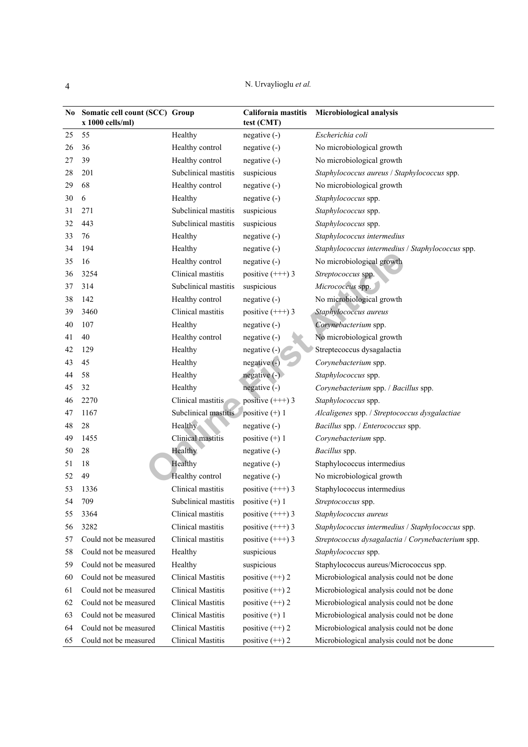N. Urvaylioglu *et al.*

| No. | Somatic cell count (SCC) Group<br>x 1000 cells/ml) |                          | California mastitis<br>test (CMT) | Microbiological analysis                          |
|-----|----------------------------------------------------|--------------------------|-----------------------------------|---------------------------------------------------|
| 25  | 55                                                 | Healthy                  | $negative(-)$                     | Escherichia coli                                  |
| 26  | 36                                                 | Healthy control          | $negative(-)$                     | No microbiological growth                         |
| 27  | 39                                                 | Healthy control          | negative (-)                      | No microbiological growth                         |
| 28  | 201                                                | Subclinical mastitis     | suspicious                        | Staphylococcus aureus / Staphylococcus spp.       |
| 29  | 68                                                 | Healthy control          | $negative(-)$                     | No microbiological growth                         |
| 30  | 6                                                  | Healthy                  | $negative(-)$                     | Staphylococcus spp.                               |
| 31  | 271                                                | Subclinical mastitis     | suspicious                        | Staphylococcus spp.                               |
| 32  | 443                                                | Subclinical mastitis     | suspicious                        | Staphylococcus spp.                               |
| 33  | 76                                                 | Healthy                  | $negative(-)$                     | Staphylococcus intermedius                        |
| 34  | 194                                                | Healthy                  | $negative(-)$                     | Staphylococcus intermedius / Staphylococcus spp.  |
| 35  | 16                                                 | Healthy control          | negative (-)                      | No microbiological growth                         |
| 36  | 3254                                               | Clinical mastitis        | positive $(++)$ 3                 | Streptococcus spp.                                |
| 37  | 314                                                | Subclinical mastitis     | suspicious                        | Micrococcus spp.                                  |
| 38  | 142                                                | Healthy control          | $negative(-)$                     | No microbiological growth                         |
| 39  | 3460                                               | Clinical mastitis        | positive $(++)$ 3                 | Staphylococcus aureus                             |
| 40  | 107                                                | Healthy                  | $negative(-)$                     | Corynebacterium spp.                              |
| 41  | 40                                                 | Healthy control          | negative (-)                      | No microbiological growth                         |
| 42  | 129                                                | Healthy                  | negative (-)                      | Streptecoccus dysagalactia                        |
| 43  | 45                                                 | Healthy                  | $negative(-)$                     | Corynebacterium spp.                              |
| 44  | 58                                                 | Healthy                  | $negative(-)$                     | Staphylococcus spp.                               |
| 45  | 32                                                 | Healthy                  | negative $(-)$                    | Corynebacterium spp. / Bacillus spp.              |
| 46  | 2270                                               | Clinical mastitis        | positive $(++)$ 3                 | Staphylococcus spp.                               |
| 47  | 1167                                               | Subclinical mastitis     | positive $(+)$ 1                  | Alcaligenes spp. / Streptococcus dysgalactiae     |
| 48  | 28                                                 | Healthy                  | $negative(-)$                     | Bacillus spp. / Enterococcus spp.                 |
| 49  | 1455                                               | Clinical mastitis        | positive $(+)$ 1                  | Corynebacterium spp.                              |
| 50  | 28                                                 | Healthy                  | $negative(-)$                     | Bacillus spp.                                     |
| 51  | 18                                                 | Healthy                  | negative (-)                      | Staphylococcus intermedius                        |
| 52  | 49                                                 | Healthy control          | negative (-)                      | No microbiological growth                         |
| 53  | 1336                                               | Clinical mastitis        | positive $(++)$ 3                 | Staphylococcus intermedius                        |
| 54  | 709                                                | Subclinical mastitis     | positive $(+)$ 1                  | Streptococcus spp.                                |
| 55  | 3364                                               | Clinical mastitis        | positive $(++)$ 3                 | Staphylococcus aureus                             |
| 56  | 3282                                               | Clinical mastitis        | positive $(++)$ 3                 | Staphylococcus intermedius / Staphylococcus spp.  |
| 57  | Could not be measured                              | Clinical mastitis        | positive $(++)$ 3                 | Streptococcus dysagalactia / Corynebacterium spp. |
| 58  | Could not be measured                              | Healthy                  | suspicious                        | Staphylococcus spp.                               |
| 59  | Could not be measured                              | Healthy                  | suspicious                        | Staphylococcus aureus/Micrococcus spp.            |
| 60  | Could not be measured                              | <b>Clinical Mastitis</b> | positive (++) 2                   | Microbiological analysis could not be done        |
| 61  | Could not be measured                              | <b>Clinical Mastitis</b> | positive $(++) 2$                 | Microbiological analysis could not be done        |
| 62  | Could not be measured                              | <b>Clinical Mastitis</b> | positive $(+)$ 2                  | Microbiological analysis could not be done        |
| 63  | Could not be measured                              | <b>Clinical Mastitis</b> | positive $(+)$ 1                  | Microbiological analysis could not be done        |
| 64  | Could not be measured                              | <b>Clinical Mastitis</b> | positive $(+)$ 2                  | Microbiological analysis could not be done        |
| 65  | Could not be measured                              | <b>Clinical Mastitis</b> | positive $(+)$ 2                  | Microbiological analysis could not be done        |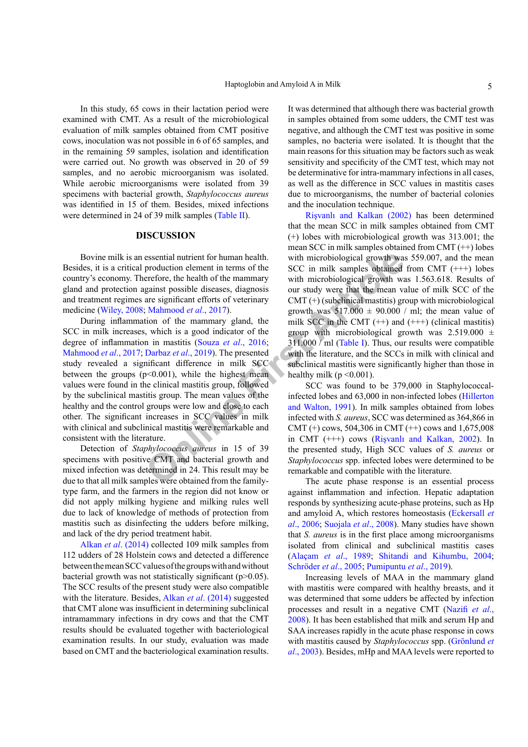In this study, 65 cows in their lactation period were examined with CMT. As a result of the microbiological evaluation of milk samples obtained from CMT positive cows, inoculation was not possible in 6 of 65 samples, and in the remaining 59 samples, isolation and identification were carried out. No growth was observed in 20 of 59 samples, and no aerobic microorganism was isolated. While aerobic microorganisms were isolated from 39 specimens with bacterial growth, *Staphylococcus aureus* was identified in 15 of them. Besides, mixed infections were determined in 24 of 39 milk samples [\(Table II](#page-2-1)).

#### **DISCUSSION**

Bovine milk is an essential nutrient for human health. Besides, it is a critical production element in terms of the country's economy. Therefore, the health of the mammary gland and protection against possible diseases, diagnosis and treatment regimes are significant efforts of veterinary medicine [\(Wiley, 2008](#page-8-3); Mahmood *et al*., 2017).

essential nutrient for human health. with microbiological growth was<br>production element in terms of the SCC in milk samples obtained<br>erefore, the health of the mammary with microbiological growth was<br>are significant effor During inflammation of the mammary gland, the SCC in milk increases, which is a good indicator of the degree of inflammation in mastitis (Souza *et al*., 2016; [Mahmood](#page-7-6) *et al*., 2017; Darbaz *et al*., 2019). The presented study revealed a significant difference in milk SCC between the groups  $(p<0.001)$ , while the highest mean values were found in the clinical mastitis group, followed by the subclinical mastitis group. The mean values of the healthy and the control groups were low and close to each other. The significant increases in SCC values in milk with clinical and subclinical mastitis were remarkable and consistent with the literature.

Detection of *Staphylococcus aureus* in 15 of 39 specimens with positive CMT and bacterial growth and mixed infection was determined in 24. This result may be due to that all milk samples were obtained from the familytype farm, and the farmers in the region did not know or did not apply milking hygiene and milking rules well due to lack of knowledge of methods of protection from mastitis such as disinfecting the udders before milking, and lack of the dry period treatment habit.

Alkan *et al*. (2014) collected 109 milk samples from 112 udders of 28 Holstein cows and detected a difference between the mean SCC values of the groups with and without bacterial growth was not statistically significant (p>0.05). The SCC results of the present study were also compatible with the literature. Besides, Alkan *et al.* (2014) suggested that CMT alone was insufficient in determining subclinical intramammary infections in dry cows and that the CMT results should be evaluated together with bacteriological examination results. In our study, evaluation was made based on CMT and the bacteriological examination results.

It was determined that although there was bacterial growth in samples obtained from some udders, the CMT test was negative, and although the CMT test was positive in some samples, no bacteria were isolated. It is thought that the main reasons for this situation may be factors such as weak sensitivity and specificity of the CMT test, which may not be determinative for intra-mammary infections in all cases, as well as the difference in SCC values in mastitis cases due to microorganisms, the number of bacterial colonies and the inoculation technique.

Rişvanlı and Kalkan (2002) has been determined that the mean SCC in milk samples obtained from CMT (+) lobes with microbiological growth was 313.001; the mean SCC in milk samples obtained from CMT (++) lobes with microbiological growth was 559.007, and the mean SCC in milk samples obtained from CMT  $(++)$  lobes with microbiological growth was 1.563.618. Results of our study were that the mean value of milk SCC of the  $CMT$  (+) (subclinical mastitis) group with microbiological growth was  $517.000 \pm 90.000$  / ml; the mean value of milk SCC in the CMT  $(++)$  and  $(++)$  (clinical mastitis) group with microbiological growth was  $2.519.000 \pm$ 311.000 / ml (Table I). Thus, our results were compatible with the literature, and the SCCs in milk with clinical and subclinical mastitis were significantly higher than those in healthy milk ( $p \le 0.001$ ).

SCC was found to be 379,000 in Staphylococcalinfected lobes and 63,000 in non-infected lobes [\(Hillerton](#page-7-7) and Walton, 1991). In milk samples obtained from lobes infected with *S. aureus*, SCC was determined as 364,866 in CMT (+) cows, 504,306 in CMT (++) cows and  $1,675,008$ in CMT (+++) cows (Rişvanlı and Kalkan, 2002). In the presented study, High SCC values of *S. aureus* or *Staphylococcus* spp. infected lobes were determined to be remarkable and compatible with the literature.

The acute phase response is an essential process against inflammation and infection. Hepatic adaptation responds by synthesizing acute-phase proteins, such as Hp and amyloid A, which restores homeostasis [\(Eckersall](#page-6-5) *et al*[., 2006](#page-6-5); Suojala *et al*., 2008). Many studies have shown that *S. aureus* is in the first place among microorganisms isolated from clinical and subclinical mastitis cases (Alaçam *et al*., 1989; [Shitandi and Kihumbu, 2004](#page-8-4); Schröder *et al*., 2005; [Pumipuntu](#page-7-8) *et al*., 2019).

Increasing levels of MAA in the mammary gland with mastitis were compared with healthy breasts, and it was determined that some udders be affected by infection processes and result in a negative CMT [\(Nazifi](#page-7-4) *et al*., [2008\)](#page-7-4). It has been established that milk and serum Hp and SAA increases rapidly in the acute phase response in cows with mastitis caused by *Staphylococcus* spp. (Grönlund *et al*., 2003). Besides, mHp and MAA levels were reported to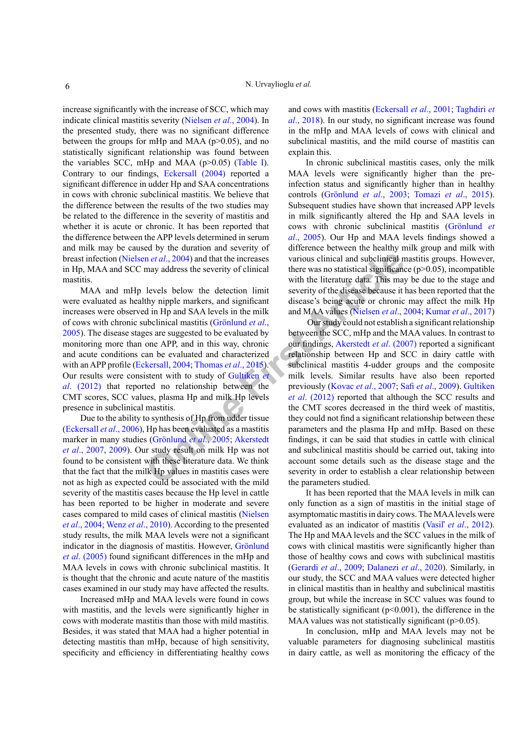increase significantly with the increase of SCC, which may indicate clinical mastitis severity [\(Nielsen](#page-7-9) *et al*., 2004). In the presented study, there was no significant difference between the groups for mHp and MAA ( $p > 0.05$ ), and no statistically significant relationship was found between the variables SCC, mHp and MAA ( $p > 0.05$ ) ([Table I\)](#page-2-0). Contrary to our findings, [Eckersall \(2004\)](#page-6-6) reported a significant difference in udder Hp and SAA concentrations in cows with chronic subclinical mastitis. We believe that the difference between the results of the two studies may be related to the difference in the severity of mastitis and whether it is acute or chronic. It has been reported that the difference between the APP levels determined in serum and milk may be caused by the duration and severity of breast infection (Nielsen *et al*., 2004) and that the increases in Hp, MAA and SCC may address the severity of clinical mastitis.

MAA and mHp levels below the detection limit were evaluated as healthy nipple markers, and significant increases were observed in Hp and SAA levels in the milk of cows with chronic subclinical mastitis (Grönlund *et al*., 2005). The disease stages are suggested to be evaluated by monitoring more than one APP, and in this way, chronic and acute conditions can be evaluated and characterized with an APP profile (Eckersall, 2004; Thomas *et al*., 2015). Our results were consistent with to study of Gultiken *et al*. (2012) that reported no relationship between the CMT scores, SCC values, plasma Hp and milk Hp levels presence in subclinical mastitis.

Due to the ability to synthesis of Hp from udder tissue [\(Eckersall](#page-6-5) *et al*., 2006), Hp has been evaluated as a mastitis marker in many studies (Grönlund *et al*., 2005; Akerstedt *et al*., 2007, 2009). Our study result on milk Hp was not found to be consistent with these literature data. We think that the fact that the milk Hp values in mastitis cases were not as high as expected could be associated with the mild severity of the mastitis cases because the Hp level in cattle has been reported to be higher in moderate and severe cases compared to mild cases of clinical mastitis ([Nielsen](#page-7-9) *et al*[., 2004](#page-7-9); Wenz *et al*[., 2010\)](#page-8-5). According to the presented study results, the milk MAA levels were not a significant indicator in the diagnosis of mastitis. However, Grönlund *et al*. (2005) found significant differences in the mHp and MAA levels in cows with chronic subclinical mastitis. It is thought that the chronic and acute nature of the mastitis cases examined in our study may have affected the results.

Increased mHp and MAA levels were found in cows with mastitis, and the levels were significantly higher in cows with moderate mastitis than those with mild mastitis. Besides, it was stated that MAA had a higher potential in detecting mastitis than mHp, because of high sensitivity, specificity and efficiency in differentiating healthy cows and cows with mastitis [\(Eckersall](#page-6-5) *et al*., 2001; [Taghdiri](#page-8-6) *et al*[., 2018\)](#page-8-6). In our study, no significant increase was found in the mHp and MAA levels of cows with clinical and subclinical mastitis, and the mild course of mastitis can explain this.

In chronic subclinical mastitis cases, only the milk MAA levels were significantly higher than the preinfection status and significantly higher than in healthy controls (Grönlund *et al*., 2003; Tomazi *et al*., 2015). Subsequent studies have shown that increased APP levels in milk significantly altered the Hp and SAA levels in cows with chronic subclinical mastitis (Grönlund *et al*., 2005). Our Hp and MAA levels findings showed a difference between the healthy milk group and milk with various clinical and subclinical mastitis groups. However, there was no statistical significance  $(p>0.05)$ , incompatible with the literature data. This may be due to the stage and severity of the disease because it has been reported that the disease's being acute or chronic may affect the milk Hp and MAA values (Nielsen *et al*., 2004; [Kumar](#page-7-10) *et al*., 2017)

**Online First Ar[t](#page-7-9)icle** Our study could not establish a significant relationship between the SCC, mHp and the MAA values. In contrast to our findings, Akerstedt *et al*. (2007) reported a significant relationship between Hp and SCC in dairy cattle with subclinical mastitis 4-udder groups and the composite milk levels. Similar results have also been reported previously (Kovac *et al*., 2007; Safi *et al*[., 2009\)](#page-7-11). Gultiken *et al*. (2012) reported that although the SCC results and the CMT scores decreased in the third week of mastitis, they could not find a significant relationship between these parameters and the plasma Hp and mHp. Based on these findings, it can be said that studies in cattle with clinical and subclinical mastitis should be carried out, taking into account some details such as the disease stage and the severity in order to establish a clear relationship between the parameters studied.

> It has been reported that the MAA levels in milk can only function as a sign of mastitis in the initial stage of asymptomatic mastitis in dairy cows. The MAA levels were evaluated as an indicator of mastitis (Vasiľ *et al*., 2012). The Hp and MAA levels and the SCC values in the milk of cows with clinical mastitis were significantly higher than those of healthy cows and cows with subclinical mastitis ([Gerardi](#page-7-5) *et al*., 2009; Dalanezi *et al*., 2020). Similarly, in our study, the SCC and MAA values were detected higher in clinical mastitis than in healthy and subclinical mastitis group, but while the increase in SCC values was found to be statistically significant  $(p<0.001)$ , the difference in the MAA values was not statistically significant  $(p>0.05)$ .

> In conclusion, mHp and MAA levels may not be valuable parameters for diagnosing subclinical mastitis in dairy cattle, as well as monitoring the efficacy of the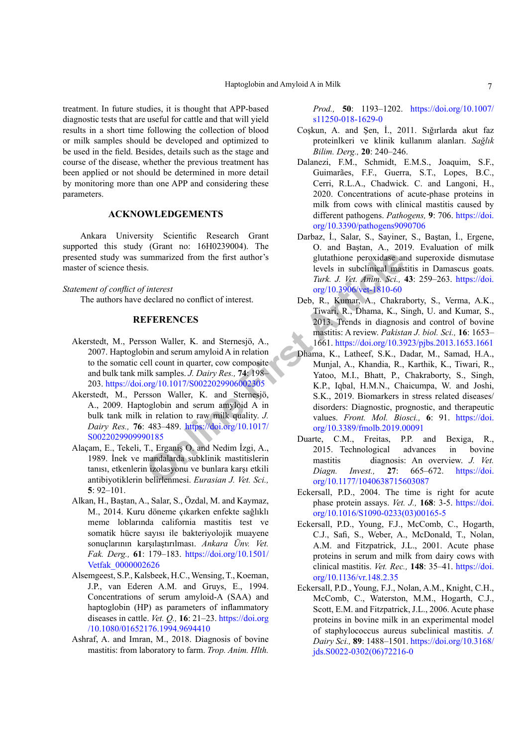treatment. In future studies, it is thought that APP-based diagnostic tests that are useful for cattle and that will yield results in a short time following the collection of blood or milk samples should be developed and optimized to be used in the field. Besides, details such as the stage and course of the disease, whether the previous treatment has been applied or not should be determined in more detail by monitoring more than one APP and considering these parameters.

# **ACKNOWLEDGEMENTS**

Ankara University Scientific Research Grant supported this study (Grant no: 16H0239004). The presented study was summarized from the first author's master of science thesis.

# *Statement of conflict of interest*

The authors have declared no conflict of interest.

## **REFERENCES**

- Akerstedt, M., Persson Waller, K. and Sternesjö, A., 2007. Haptoglobin and serum amyloid A in relation to the somatic cell count in quarter, cow composite and bulk tank milk samples. *J. Dairy Res.,* **74**: 198– 203.<https://doi.org/10.1017/S0022029906002305>
- Akerstedt, M., Persson Waller, K. and Sternesjö, A., 2009. Haptoglobin and serum amyloid A in bulk tank milk in relation to raw milk quality. *J. Dairy Res.,* **76**: 483–489. https://doi.org/10.1017/ [S0022029909990185](https://doi.org/10.1017/S0022029909990185)
- Alaçam, E., Tekeli, T., Erganiş O. and Nedim İzgi, A., 1989. İnek ve mandalarda subklinik mastitislerin tanısı, etkenlerin izolasyonu ve bunlara karşı etkili antibiyotiklerin belirlenmesi. *Eurasian J. Vet. Sci.,* **5**: 92–101.
- Alkan, H., Baştan, A., Salar, S., Özdal, M. and Kaymaz, M., 2014. Kuru döneme çıkarken enfekte sağlıklı meme loblarında california mastitis test ve somatik hücre sayısı ile bakteriyolojik muayene sonuçlarının karşılaştırılması. *Ankara Ünv. Vet. Fak. Derg.,* **61**: 179–183. [https://doi.org/10.1501/](https://doi.org/10.1501/Vetfak_0000002626) [Vetfak\\_0000002626](https://doi.org/10.1501/Vetfak_0000002626)
- <span id="page-6-3"></span>Alsemgeest, S.P., Kalsbeek, H.C., Wensing, T., Koeman, J.P., van Ederen A.M. and Gruys, E., 1994. Concentrations of serum amyloid-A (SAA) and haptoglobin (HP) as parameters of inflammatory diseases in cattle. *Vet. Q.,* **16**: 21–23. [https://doi.org](https://doi.org/10.1080/01652176.1994.9694410) [/10.1080/01652176.1994.9694410](https://doi.org/10.1080/01652176.1994.9694410)
- <span id="page-6-1"></span>Ashraf, A. and Imran, M., 2018. Diagnosis of bovine mastitis: from laboratory to farm. *Trop. Anim. Hlth.*

*Prod.,* **50**: 1193–1202. [https://doi.org/10.1007/](https://doi.org/10.1007/s11250-018-1629-0) [s11250-018-1629-0](https://doi.org/10.1007/s11250-018-1629-0)

- Coşkun, A. and Şen, İ., 2011. Sığırlarda akut faz proteinlkeri ve klinik kullanım alanları. *Sağlık Bilim. Derg.,* **20**: 240–246.
- Dalanezi, F.M., Schmidt, E.M.S., Joaquim, S.F., Guimarães, F.F., Guerra, S.T., Lopes, B.C., Cerri, R.L.A., Chadwick. C. and Langoni, H., 2020. Concentrations of acute-phase proteins in milk from cows with clinical mastitis caused by different pathogens. *Pathogens,* **9**: 706. [https://doi.](https://doi.org/10.3390/pathogens9090706) [org/10.3390/pathogens9090706](https://doi.org/10.3390/pathogens9090706)
- Darbaz, İ., Salar, S., Sayiner, S., Baştan, İ., Ergene, O. and Baştan, A., 2019. Evaluation of milk glutathione peroxidase and superoxide dismutase levels in subclinical mastitis in Damascus goats. *Turk. J. Vet. Anim. Sci.,* **43**: 259–263. [https://doi.](https://doi.org/10.3906/vet-1810-60) org/10.3906/vet-1810-60
- <span id="page-6-6"></span><span id="page-6-5"></span><span id="page-6-4"></span><span id="page-6-2"></span><span id="page-6-0"></span>Deb, R., Kumar, A., Chakraborty, S., Verma, A.K., Tiwari, R., Dhama, K., Singh, U. and Kumar, S., 2013. Trends in diagnosis and control of bovine mastitis: A review. *Pakistan J. biol. Sci.,* **16**: 1653– 1661.<https://doi.org/10.3923/pjbs.2013.1653.1661>
- ummarized from the first author's<br>
S.<br>
S.<br>
S.<br>
S.<br>
S.<br>
S.<br>
S.<br>
Cherest<br>
declared no conflict of interest.<br>
Deb, R., Kumar, A., Chakra<br>
Deb, R., Kumar, A., Chakra<br>
Deb, R., Kumar, A., Chakra<br>
S.<br>
S.<br> **Only R.**, A., Latter, Dhama, K., Latheef, S.K., Dadar, M., Samad, H.A., Munjal, A., Khandia, R., Karthik, K., Tiwari, R., Yatoo, M.I., Bhatt, P., Chakraborty, S., Singh, K.P., Iqbal, H.M.N., Chaicumpa, W. and Joshi, S.K., 2019. Biomarkers in stress related diseases/ disorders: Diagnostic, prognostic, and therapeutic values. *Front. Mol. Biosci.,* **6**: 91. [https://doi.](https://doi.org/10.3389/fmolb.2019.00091) org/10.3389/fmolb.2019.00091
	- Duarte, C.M., Freitas, P.P. and Bexiga, R., 2015. Technological advances in bovine mastitis diagnosis: An overview. *J. Vet. Diagn. Invest.,* **27**: 665–672. [https://doi.](https://doi.org/10.1177/1040638715603087) [org/10.1177/1040638715603087](https://doi.org/10.1177/1040638715603087)
	- Eckersall, P.D., 2004. The time is right for acute phase protein assays. *Vet. J.,* **168**: 3-5. [https://doi.](https://doi.org/10.1016/S1090-0233(03)00165-5) [org/10.1016/S1090-0233\(03\)00165-5](https://doi.org/10.1016/S1090-0233(03)00165-5)
	- Eckersall, P.D., Young, F.J., McComb, C., Hogarth, C.J., Safi, S., Weber, A., McDonald, T., Nolan, A.M. and Fitzpatrick, J.L., 2001. Acute phase proteins in serum and milk from dairy cows with clinical mastitis. *Vet. Rec.,* **148**: 35–41. [https://doi.](https://doi.org/10.1136/vr.148.2.35) [org/10.1136/vr.148.2.35](https://doi.org/10.1136/vr.148.2.35)
	- Eckersall, P.D., Young, F.J., Nolan, A.M., Knight, C.H., McComb, C., Waterston, M.M., Hogarth, C.J., Scott, E.M. and Fitzpatrick, J.L., 2006. Acute phase proteins in bovine milk in an experimental model of staphylococcus aureus subclinical mastitis. *J. Dairy Sci.,* **89**: 1488–1501. [https://doi.org/10.3168/](https://doi.org/10.3168/jds.S0022-0302(06)72216-0) [jds.S0022-0302\(06\)72216-0](https://doi.org/10.3168/jds.S0022-0302(06)72216-0)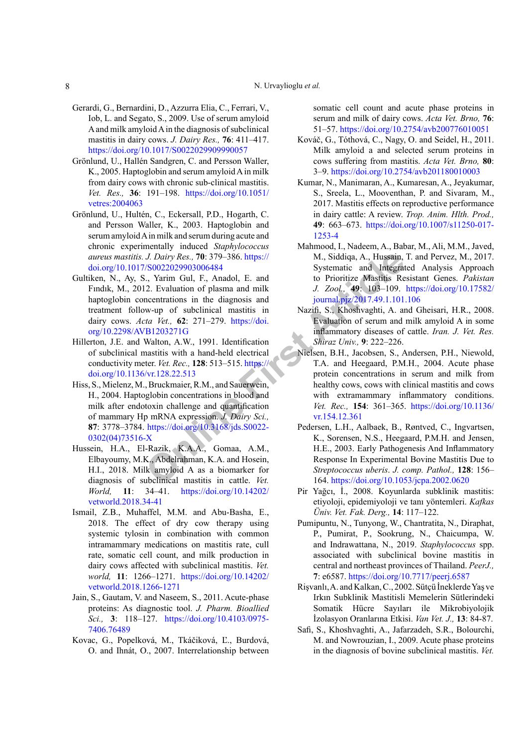- <span id="page-7-5"></span>Gerardi, G., Bernardini, D., Azzurra Elia, C., Ferrari, V., Iob, L. and Segato, S., 2009. Use of serum amyloid A and milk amyloid A in the diagnosis of subclinical mastitis in dairy cows. *J. Dairy Res.,* **76**: 411–417. <https://doi.org/10.1017/S0022029909990057>
- Grönlund, U., Hallén Sandgren, C. and Persson Waller, K., 2005. Haptoglobin and serum amyloid A in milk from dairy cows with chronic sub-clinical mastitis. *Vet. Res.,* **36**: 191–198. [https://doi.org/10.1051/](https://doi.org/10.1051/vetres:2004063) [vetres:2004063](https://doi.org/10.1051/vetres:2004063)
- Grönlund, U., Hultén, C., Eckersall, P.D., Hogarth, C. and Persson Waller, K., 2003. Haptoglobin and serum amyloid A in milk and serum during acute and chronic experimentally induced *Staphylococcus aureus mastitis. J. Dairy Res.,* **70**: 379–386. https:// [doi.org/10.1017/S0022029903006484](https://doi.org/10.1017/S0022029903006484)
- Gultiken, N., Ay, S., Yarim Gul, F., Anadol, E. and Fındık, M., 2012. Evaluation of plasma and milk haptoglobin concentrations in the diagnosis and treatment follow-up of subclinical mastitis in dairy cows. *Acta Vet.,* **62**: 271–279. https://doi. [org/10.2298/AVB1203271G](https://doi.org/10.2298/AVB1203271G)
- <span id="page-7-7"></span>Hillerton, J.E. and Walton, A.W., 1991. Identification of subclinical mastitis with a hand-held electrical conductivity meter. *Vet. Rec.,* **128**: 513–515. https:// [doi.org/10.1136/vr.128.22.513](https://doi.org/10.1136/vr.128.22.513)
- <span id="page-7-1"></span>Hiss, S., Mielenz, M., Bruckmaier, R.M., and Sauerwein, H., 2004. Haptoglobin concentrations in blood and milk after endotoxin challenge and quantification of mammary Hp mRNA expression. *J. Dairy Sci.,* **87**: 3778–3784. https://doi.org/10.3168/jds.S0022- [0302\(04\)73516-X](https://doi.org/10.3168/jds.S0022-0302(04)73516-X)
- <span id="page-7-3"></span>Hussein, H.A., El-Razik, K.A.A., Gomaa, A.M., Elbayoumy, M.K., Abdelrahman, K.A. and Hosein, H.I., 2018. Milk amyloid A as a biomarker for diagnosis of subclinical mastitis in cattle. *Vet. World,* **11**: 34–41. [https://doi.org/10.14202/](https://doi.org/10.14202/vetworld.2018.34-41) [vetworld.2018.34-41](https://doi.org/10.14202/vetworld.2018.34-41)
- <span id="page-7-0"></span>Ismail, Z.B., Muhaffel, M.M. and Abu-Basha, E., 2018. The effect of dry cow therapy using systemic tylosin in combination with common intramammary medications on mastitis rate, cull rate, somatic cell count, and milk production in dairy cows affected with subclinical mastitis. *Vet. world,* **11**: 1266–1271. [https://doi.org/10.14202/](https://doi.org/10.14202/vetworld.2018.1266-1271) [vetworld.2018.1266-1271](https://doi.org/10.14202/vetworld.2018.1266-1271)
- <span id="page-7-2"></span>Jain, S., Gautam, V. and Naseem, S., 2011. Acute-phase proteins: As diagnostic tool. *J. Pharm. Bioallied Sci.,* **3**: 118–127. [https://doi.org/10.4103/0975-](https://doi.org/10.4103/0975-7406.76489) [7406.76489](https://doi.org/10.4103/0975-7406.76489)
- <span id="page-7-11"></span>Kovac, G., Popelková, M., Tkáčiková, Ľ., Burdová, O. and Ihnát, O., 2007. Interrelationship between

somatic cell count and acute phase proteins in serum and milk of dairy cows. *Acta Vet. Brno,* **76**: 51–57.<https://doi.org/10.2754/avb200776010051>

- Kováč, G., Tóthová, C., Nagy, O. and Seidel, H., 2011. Milk amyloid a and selected serum proteins in cows suffering from mastitis. *Acta Vet. Brno,* **80**: 3–9.<https://doi.org/10.2754/avb201180010003>
- <span id="page-7-10"></span>Kumar, N., Manimaran, A., Kumaresan, A., Jeyakumar, S., Sreela, L., Mooventhan, P. and Sivaram, M., 2017. Mastitis effects on reproductive performance in dairy cattle: A review. *Trop. Anim. Hlth. Prod.,* **49**: 663–673. [https://doi.org/10.1007/s11250-017-](https://doi.org/10.1007/s11250-017-1253-4) [1253-4](https://doi.org/10.1007/s11250-017-1253-4)
- <span id="page-7-6"></span>Mahmood, I., Nadeem, A., Babar, M., Ali, M.M., Javed, M., Siddiqa, A., Hussain, T. and Pervez, M., 2017. Systematic and Integrated Analysis Approach to Prioritize Mastitis Resistant Genes. *Pakistan J. Zool.,* **49**: 103–109. [https://doi.org/10.17582/](https://doi.org/10.17582/journal.pjz/2017.49.1.101.106) journal.pjz/2017.49.1.101.106
- <span id="page-7-9"></span><span id="page-7-8"></span><span id="page-7-4"></span>Nazifi, S., Khoshvaghti, A. and Gheisari, H.R., 2008. Evaluation of serum and milk amyloid A in some inflammatory diseases of cattle. *Iran. J. Vet. Res. Shiraz Univ.,* **9**: 222–226.
- **J.** Dairy Res., 70: 379–386. https://<br>
M., Siddiqa, A., Hussain,<br>  $/8002202990306484$ <br>
Systematic and Integrate<br>
Systematic and Integrate<br>
D. Evaluation of plasma and milk<br> **D.** Zool., **49:** 103–109.<br>
meentrations in the Nielsen, B.H., Jacobsen, S., Andersen, P.H., Niewold, T.A. and Heegaard, P.M.H., 2004. Acute phase protein concentrations in serum and milk from healthy cows, cows with clinical mastitis and cows with extramammary inflammatory conditions. *Vet. Rec.,* **154**: 361–365. [https://doi.org/10.1136/](https://doi.org/10.1136/vr.154.12.361) vr.154.12.361
	- Pedersen, L.H., Aalbaek, B., Røntved, C., Ingvartsen, K., Sorensen, N.S., Heegaard, P.M.H. and Jensen, H.E., 2003. Early Pathogenesis And Inflammatory Response In Experimental Bovine Mastitis Due to *Streptococcus uberis*. *J. comp. Pathol.,* **128**: 156– 164.<https://doi.org/10.1053/jcpa.2002.0620>
	- Pir Yağcı, İ., 2008. Koyunlarda subklinik mastitis: etiyoloji, epidemiyoloji ve tanı yöntemleri. *Kafkas Üniv. Vet. Fak. Derg.,* **14**: 117–122.
	- Pumipuntu, N., Tunyong, W., Chantratita, N., Diraphat, P., Pumirat, P., Sookrung, N., Chaicumpa, W. and Indrawattana, N., 2019. *Staphylococcus* spp. associated with subclinical bovine mastitis in central and northeast provinces of Thailand. *PeerJ.,* **7**: e6587.<https://doi.org/10.7717/peerj.6587>
	- Rişvanlı, A. and Kalkan, C., 2002. Sütçü İneklerde Yaş ve Irkın Subklinik Mastitisli Memelerin Sütlerindeki Somatik Hücre Sayıları ile Mikrobiyolojik İzolasyon Oranlarına Etkisi. *Van Vet. J.,* **13**: 84-87.
	- Safi, S., Khoshvaghti, A., Jafarzadeh, S.R., Bolourchi, M. and Nowrouzian, I., 2009. Acute phase proteins in the diagnosis of bovine subclinical mastitis. *Vet.*